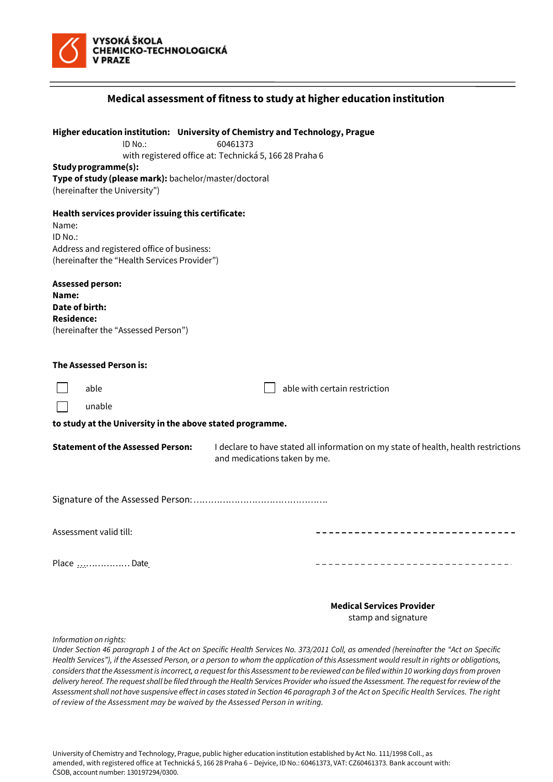

| Medical assessment of fitness to study at higher education institution                                                                                               |                                                                                                                                                    |
|----------------------------------------------------------------------------------------------------------------------------------------------------------------------|----------------------------------------------------------------------------------------------------------------------------------------------------|
| ID No.:<br>Study programme(s):<br>Type of study (please mark): bachelor/master/doctoral<br>(hereinafter the University")                                             | Higher education institution: University of Chemistry and Technology, Prague<br>60461373<br>with registered office at: Technická 5, 166 28 Praha 6 |
| Health services provider issuing this certificate:<br>Name:<br>ID No.:<br>Address and registered office of business:<br>(hereinafter the "Health Services Provider") |                                                                                                                                                    |
| <b>Assessed person:</b><br>Name:<br>Date of birth:<br><b>Residence:</b><br>(hereinafter the "Assessed Person")                                                       |                                                                                                                                                    |
| The Assessed Person is:                                                                                                                                              |                                                                                                                                                    |
| able                                                                                                                                                                 | able with certain restriction                                                                                                                      |
| unable<br>to study at the University in the above stated programme.                                                                                                  |                                                                                                                                                    |
| <b>Statement of the Assessed Person:</b>                                                                                                                             | I declare to have stated all information on my state of health, health restrictions<br>and medications taken by me.                                |
|                                                                                                                                                                      |                                                                                                                                                    |
| Assessment valid till:                                                                                                                                               |                                                                                                                                                    |
| Place Date                                                                                                                                                           |                                                                                                                                                    |
|                                                                                                                                                                      | <b>Medical Services Provider</b>                                                                                                                   |

stamp and signature

*Information on rights:*

*Under Section 46 paragraph 1 of the Act on Specific Health Services No. 373/2011 Coll, as amended (hereinafter the "Act on Specific Health Services"), if the Assessed Person, or a person to whom the application of this Assessment would result in rights or obligations, considers that the Assessmentis incorrect, a request for this Assessment to be reviewed can be filed within 10 working days from proven delivery hereof. The request shall be filed through the Health Services Provider who issued the Assessment. The request for review of the Assessment shall not have suspensive effectin cases stated in Section 46 paragraph 3 of the Act on Specific Health Services. The right of review of the Assessment may be waived by the Assessed Person in writing.*

University of Chemistry and Technology, Prague, public higher education institution established by Act No. 111/1998 Coll., as amended, with registered office at Technická 5, 166 28 Praha 6 – Dejvice, ID No.: 60461373, VAT: CZ60461373. Bank account with: ČSOB, account number: 130197294/0300.